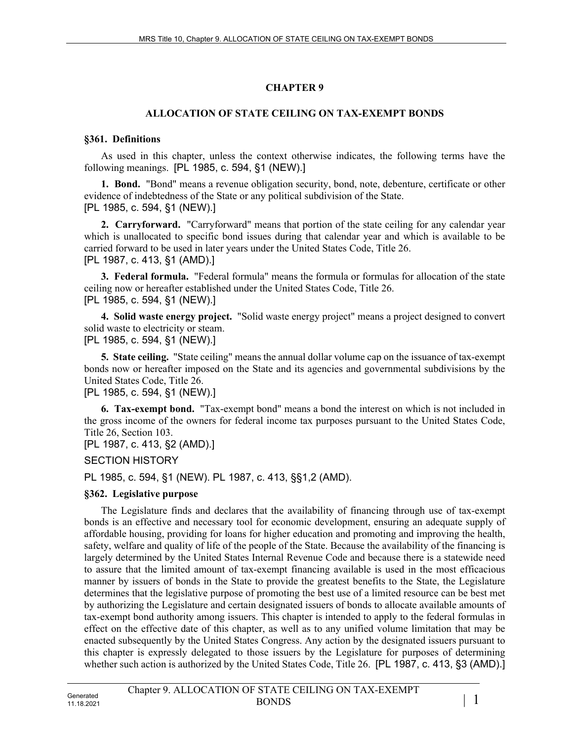# **CHAPTER 9**

## **ALLOCATION OF STATE CEILING ON TAX-EXEMPT BONDS**

### **§361. Definitions**

As used in this chapter, unless the context otherwise indicates, the following terms have the following meanings. [PL 1985, c. 594, §1 (NEW).]

**1. Bond.** "Bond" means a revenue obligation security, bond, note, debenture, certificate or other evidence of indebtedness of the State or any political subdivision of the State. [PL 1985, c. 594, §1 (NEW).]

**2. Carryforward.** "Carryforward" means that portion of the state ceiling for any calendar year which is unallocated to specific bond issues during that calendar year and which is available to be carried forward to be used in later years under the United States Code, Title 26. [PL 1987, c. 413, §1 (AMD).]

**3. Federal formula.** "Federal formula" means the formula or formulas for allocation of the state ceiling now or hereafter established under the United States Code, Title 26. [PL 1985, c. 594, §1 (NEW).]

**4. Solid waste energy project.** "Solid waste energy project" means a project designed to convert solid waste to electricity or steam.

[PL 1985, c. 594, §1 (NEW).]

**5. State ceiling.** "State ceiling" means the annual dollar volume cap on the issuance of tax-exempt bonds now or hereafter imposed on the State and its agencies and governmental subdivisions by the United States Code, Title 26.

[PL 1985, c. 594, §1 (NEW).]

**6. Tax-exempt bond.** "Tax-exempt bond" means a bond the interest on which is not included in the gross income of the owners for federal income tax purposes pursuant to the United States Code, Title 26, Section 103.

[PL 1987, c. 413, §2 (AMD).]

SECTION HISTORY

PL 1985, c. 594, §1 (NEW). PL 1987, c. 413, §§1,2 (AMD).

## **§362. Legislative purpose**

The Legislature finds and declares that the availability of financing through use of tax-exempt bonds is an effective and necessary tool for economic development, ensuring an adequate supply of affordable housing, providing for loans for higher education and promoting and improving the health, safety, welfare and quality of life of the people of the State. Because the availability of the financing is largely determined by the United States Internal Revenue Code and because there is a statewide need to assure that the limited amount of tax-exempt financing available is used in the most efficacious manner by issuers of bonds in the State to provide the greatest benefits to the State, the Legislature determines that the legislative purpose of promoting the best use of a limited resource can be best met by authorizing the Legislature and certain designated issuers of bonds to allocate available amounts of tax-exempt bond authority among issuers. This chapter is intended to apply to the federal formulas in effect on the effective date of this chapter, as well as to any unified volume limitation that may be enacted subsequently by the United States Congress. Any action by the designated issuers pursuant to this chapter is expressly delegated to those issuers by the Legislature for purposes of determining whether such action is authorized by the United States Code, Title 26. [PL 1987, c. 413, §3 (AMD).]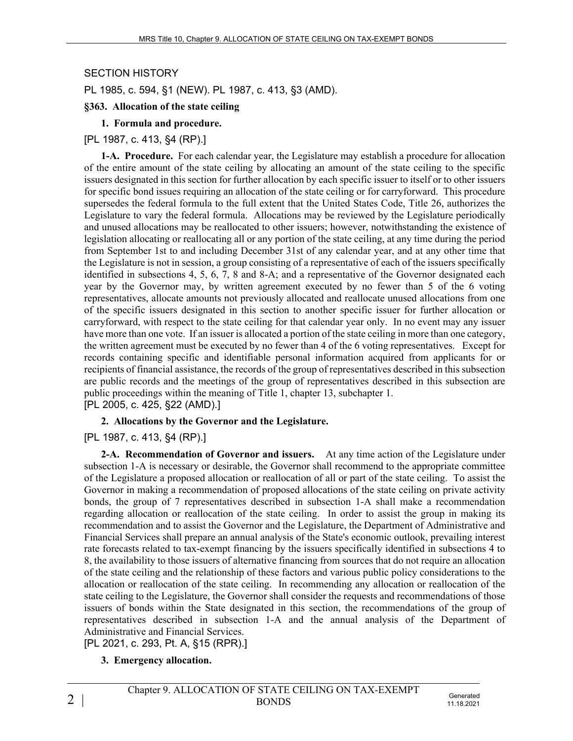#### SECTION HISTORY

PL 1985, c. 594, §1 (NEW). PL 1987, c. 413, §3 (AMD).

#### **§363. Allocation of the state ceiling**

### **1. Formula and procedure.**

### [PL 1987, c. 413, §4 (RP).]

**1-A. Procedure.** For each calendar year, the Legislature may establish a procedure for allocation of the entire amount of the state ceiling by allocating an amount of the state ceiling to the specific issuers designated in this section for further allocation by each specific issuer to itself or to other issuers for specific bond issues requiring an allocation of the state ceiling or for carryforward. This procedure supersedes the federal formula to the full extent that the United States Code, Title 26, authorizes the Legislature to vary the federal formula. Allocations may be reviewed by the Legislature periodically and unused allocations may be reallocated to other issuers; however, notwithstanding the existence of legislation allocating or reallocating all or any portion of the state ceiling, at any time during the period from September 1st to and including December 31st of any calendar year, and at any other time that the Legislature is not in session, a group consisting of a representative of each of the issuers specifically identified in subsections 4, 5, 6, 7, 8 and 8-A; and a representative of the Governor designated each year by the Governor may, by written agreement executed by no fewer than 5 of the 6 voting representatives, allocate amounts not previously allocated and reallocate unused allocations from one of the specific issuers designated in this section to another specific issuer for further allocation or carryforward, with respect to the state ceiling for that calendar year only. In no event may any issuer have more than one vote. If an issuer is allocated a portion of the state ceiling in more than one category, the written agreement must be executed by no fewer than 4 of the 6 voting representatives. Except for records containing specific and identifiable personal information acquired from applicants for or recipients of financial assistance, the records of the group of representatives described in this subsection are public records and the meetings of the group of representatives described in this subsection are public proceedings within the meaning of Title 1, chapter 13, subchapter 1. [PL 2005, c. 425, §22 (AMD).]

#### **2. Allocations by the Governor and the Legislature.**

#### [PL 1987, c. 413, §4 (RP).]

**2-A. Recommendation of Governor and issuers.** At any time action of the Legislature under subsection 1-A is necessary or desirable, the Governor shall recommend to the appropriate committee of the Legislature a proposed allocation or reallocation of all or part of the state ceiling. To assist the Governor in making a recommendation of proposed allocations of the state ceiling on private activity bonds, the group of 7 representatives described in subsection 1-A shall make a recommendation regarding allocation or reallocation of the state ceiling. In order to assist the group in making its recommendation and to assist the Governor and the Legislature, the Department of Administrative and Financial Services shall prepare an annual analysis of the State's economic outlook, prevailing interest rate forecasts related to tax-exempt financing by the issuers specifically identified in subsections 4 to 8, the availability to those issuers of alternative financing from sources that do not require an allocation of the state ceiling and the relationship of these factors and various public policy considerations to the allocation or reallocation of the state ceiling. In recommending any allocation or reallocation of the state ceiling to the Legislature, the Governor shall consider the requests and recommendations of those issuers of bonds within the State designated in this section, the recommendations of the group of representatives described in subsection 1-A and the annual analysis of the Department of Administrative and Financial Services.

[PL 2021, c. 293, Pt. A, §15 (RPR).]

## **3. Emergency allocation.**

11.18.2021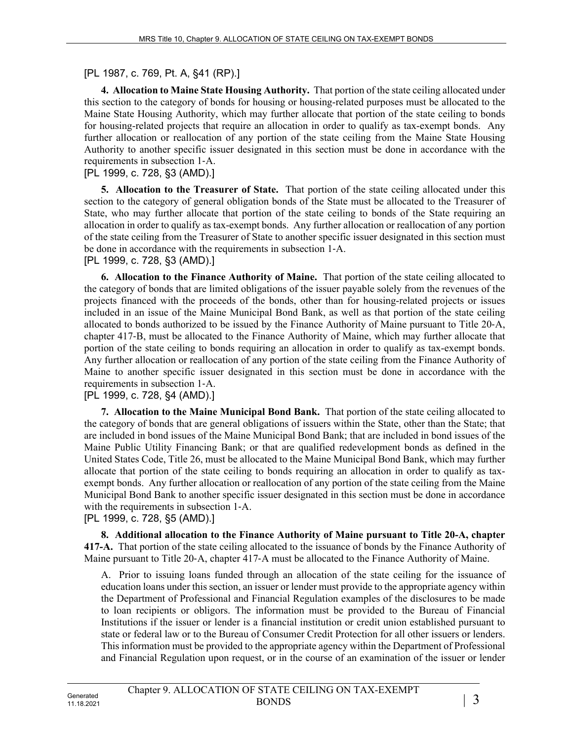[PL 1987, c. 769, Pt. A, §41 (RP).]

**4. Allocation to Maine State Housing Authority.** That portion of the state ceiling allocated under this section to the category of bonds for housing or housing-related purposes must be allocated to the Maine State Housing Authority, which may further allocate that portion of the state ceiling to bonds for housing-related projects that require an allocation in order to qualify as tax-exempt bonds. Any further allocation or reallocation of any portion of the state ceiling from the Maine State Housing Authority to another specific issuer designated in this section must be done in accordance with the requirements in subsection 1‑A.

[PL 1999, c. 728, §3 (AMD).]

**5. Allocation to the Treasurer of State.** That portion of the state ceiling allocated under this section to the category of general obligation bonds of the State must be allocated to the Treasurer of State, who may further allocate that portion of the state ceiling to bonds of the State requiring an allocation in order to qualify as tax-exempt bonds. Any further allocation or reallocation of any portion of the state ceiling from the Treasurer of State to another specific issuer designated in this section must be done in accordance with the requirements in subsection 1‑A.

[PL 1999, c. 728, §3 (AMD).]

**6. Allocation to the Finance Authority of Maine.** That portion of the state ceiling allocated to the category of bonds that are limited obligations of the issuer payable solely from the revenues of the projects financed with the proceeds of the bonds, other than for housing-related projects or issues included in an issue of the Maine Municipal Bond Bank, as well as that portion of the state ceiling allocated to bonds authorized to be issued by the Finance Authority of Maine pursuant to Title 20‑A, chapter 417‑B, must be allocated to the Finance Authority of Maine, which may further allocate that portion of the state ceiling to bonds requiring an allocation in order to qualify as tax-exempt bonds. Any further allocation or reallocation of any portion of the state ceiling from the Finance Authority of Maine to another specific issuer designated in this section must be done in accordance with the requirements in subsection 1‑A.

#### [PL 1999, c. 728, §4 (AMD).]

**7. Allocation to the Maine Municipal Bond Bank.** That portion of the state ceiling allocated to the category of bonds that are general obligations of issuers within the State, other than the State; that are included in bond issues of the Maine Municipal Bond Bank; that are included in bond issues of the Maine Public Utility Financing Bank; or that are qualified redevelopment bonds as defined in the United States Code, Title 26, must be allocated to the Maine Municipal Bond Bank, which may further allocate that portion of the state ceiling to bonds requiring an allocation in order to qualify as taxexempt bonds. Any further allocation or reallocation of any portion of the state ceiling from the Maine Municipal Bond Bank to another specific issuer designated in this section must be done in accordance with the requirements in subsection 1‑A.

## [PL 1999, c. 728, §5 (AMD).]

**8. Additional allocation to the Finance Authority of Maine pursuant to Title 20-A, chapter 417-A.** That portion of the state ceiling allocated to the issuance of bonds by the Finance Authority of Maine pursuant to Title 20‑A, chapter 417‑A must be allocated to the Finance Authority of Maine.

A. Prior to issuing loans funded through an allocation of the state ceiling for the issuance of education loans under this section, an issuer or lender must provide to the appropriate agency within the Department of Professional and Financial Regulation examples of the disclosures to be made to loan recipients or obligors. The information must be provided to the Bureau of Financial Institutions if the issuer or lender is a financial institution or credit union established pursuant to state or federal law or to the Bureau of Consumer Credit Protection for all other issuers or lenders. This information must be provided to the appropriate agency within the Department of Professional and Financial Regulation upon request, or in the course of an examination of the issuer or lender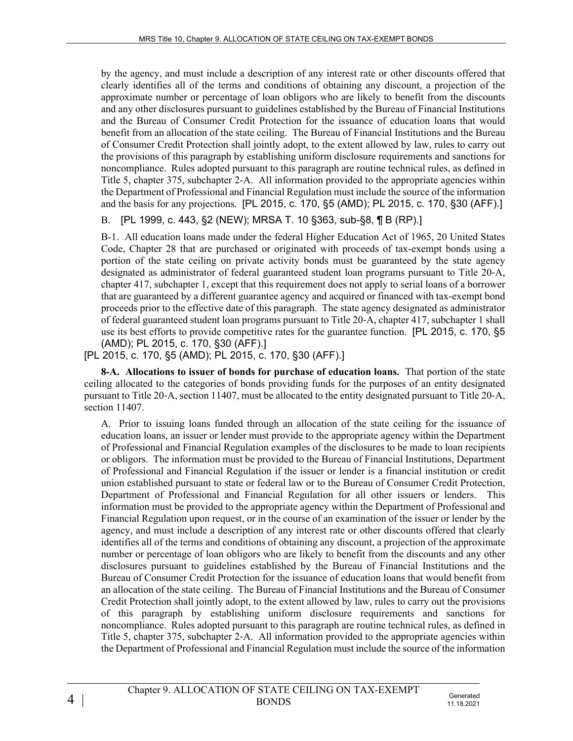by the agency, and must include a description of any interest rate or other discounts offered that clearly identifies all of the terms and conditions of obtaining any discount, a projection of the approximate number or percentage of loan obligors who are likely to benefit from the discounts and any other disclosures pursuant to guidelines established by the Bureau of Financial Institutions and the Bureau of Consumer Credit Protection for the issuance of education loans that would benefit from an allocation of the state ceiling. The Bureau of Financial Institutions and the Bureau of Consumer Credit Protection shall jointly adopt, to the extent allowed by law, rules to carry out the provisions of this paragraph by establishing uniform disclosure requirements and sanctions for noncompliance. Rules adopted pursuant to this paragraph are routine technical rules, as defined in Title 5, chapter 375, subchapter 2-A. All information provided to the appropriate agencies within the Department of Professional and Financial Regulation must include the source of the information and the basis for any projections. [PL 2015, c. 170, §5 (AMD); PL 2015, c. 170, §30 (AFF).]

# B. [PL 1999, c. 443, §2 (NEW); MRSA T. 10 §363, sub-§8, ¶ B (RP).]

B-1. All education loans made under the federal Higher Education Act of 1965, 20 United States Code, Chapter 28 that are purchased or originated with proceeds of tax-exempt bonds using a portion of the state ceiling on private activity bonds must be guaranteed by the state agency designated as administrator of federal guaranteed student loan programs pursuant to Title 20‑A, chapter 417, subchapter 1, except that this requirement does not apply to serial loans of a borrower that are guaranteed by a different guarantee agency and acquired or financed with tax-exempt bond proceeds prior to the effective date of this paragraph. The state agency designated as administrator of federal guaranteed student loan programs pursuant to Title 20‑A, chapter 417, subchapter 1 shall use its best efforts to provide competitive rates for the guarantee function. [PL 2015, c. 170, §5 (AMD); PL 2015, c. 170, §30 (AFF).]

# [PL 2015, c. 170, §5 (AMD); PL 2015, c. 170, §30 (AFF).]

**8-A. Allocations to issuer of bonds for purchase of education loans.** That portion of the state ceiling allocated to the categories of bonds providing funds for the purposes of an entity designated pursuant to Title 20‑A, section 11407, must be allocated to the entity designated pursuant to Title 20‑A, section 11407.

A. Prior to issuing loans funded through an allocation of the state ceiling for the issuance of education loans, an issuer or lender must provide to the appropriate agency within the Department of Professional and Financial Regulation examples of the disclosures to be made to loan recipients or obligors. The information must be provided to the Bureau of Financial Institutions, Department of Professional and Financial Regulation if the issuer or lender is a financial institution or credit union established pursuant to state or federal law or to the Bureau of Consumer Credit Protection, Department of Professional and Financial Regulation for all other issuers or lenders. This information must be provided to the appropriate agency within the Department of Professional and Financial Regulation upon request, or in the course of an examination of the issuer or lender by the agency, and must include a description of any interest rate or other discounts offered that clearly identifies all of the terms and conditions of obtaining any discount, a projection of the approximate number or percentage of loan obligors who are likely to benefit from the discounts and any other disclosures pursuant to guidelines established by the Bureau of Financial Institutions and the Bureau of Consumer Credit Protection for the issuance of education loans that would benefit from an allocation of the state ceiling. The Bureau of Financial Institutions and the Bureau of Consumer Credit Protection shall jointly adopt, to the extent allowed by law, rules to carry out the provisions of this paragraph by establishing uniform disclosure requirements and sanctions for noncompliance. Rules adopted pursuant to this paragraph are routine technical rules, as defined in Title 5, chapter 375, subchapter 2‑A. All information provided to the appropriate agencies within the Department of Professional and Financial Regulation must include the source of the information

11.18.2021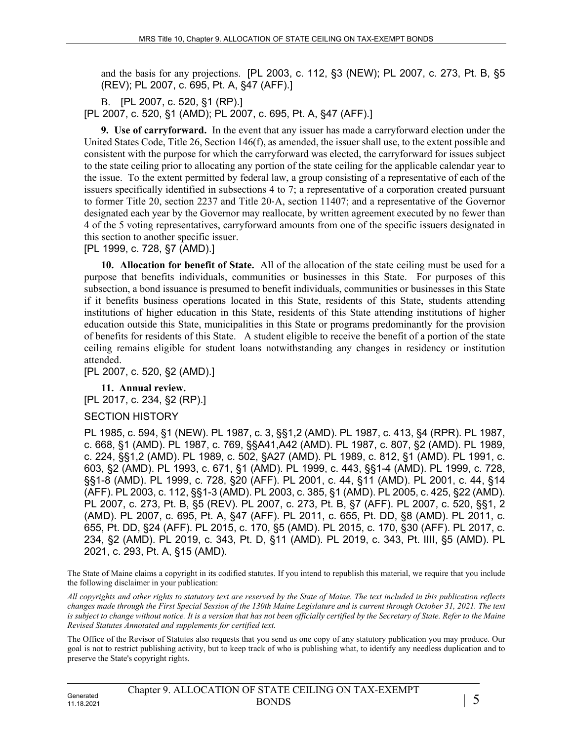and the basis for any projections. [PL 2003, c. 112, §3 (NEW); PL 2007, c. 273, Pt. B, §5 (REV); PL 2007, c. 695, Pt. A, §47 (AFF).]

B. [PL 2007, c. 520, §1 (RP).]

[PL 2007, c. 520, §1 (AMD); PL 2007, c. 695, Pt. A, §47 (AFF).]

**9. Use of carryforward.** In the event that any issuer has made a carryforward election under the United States Code, Title 26, Section 146(f), as amended, the issuer shall use, to the extent possible and consistent with the purpose for which the carryforward was elected, the carryforward for issues subject to the state ceiling prior to allocating any portion of the state ceiling for the applicable calendar year to the issue. To the extent permitted by federal law, a group consisting of a representative of each of the issuers specifically identified in subsections 4 to 7; a representative of a corporation created pursuant to former Title 20, section 2237 and Title 20‑A, section 11407; and a representative of the Governor designated each year by the Governor may reallocate, by written agreement executed by no fewer than 4 of the 5 voting representatives, carryforward amounts from one of the specific issuers designated in this section to another specific issuer.

[PL 1999, c. 728, §7 (AMD).]

**10. Allocation for benefit of State.** All of the allocation of the state ceiling must be used for a purpose that benefits individuals, communities or businesses in this State. For purposes of this subsection, a bond issuance is presumed to benefit individuals, communities or businesses in this State if it benefits business operations located in this State, residents of this State, students attending institutions of higher education in this State, residents of this State attending institutions of higher education outside this State, municipalities in this State or programs predominantly for the provision of benefits for residents of this State. A student eligible to receive the benefit of a portion of the state ceiling remains eligible for student loans notwithstanding any changes in residency or institution attended.

[PL 2007, c. 520, §2 (AMD).]

**11. Annual review.**  [PL 2017, c. 234, §2 (RP).]

#### SECTION HISTORY

PL 1985, c. 594, §1 (NEW). PL 1987, c. 3, §§1,2 (AMD). PL 1987, c. 413, §4 (RPR). PL 1987, c. 668, §1 (AMD). PL 1987, c. 769, §§A41,A42 (AMD). PL 1987, c. 807, §2 (AMD). PL 1989, c. 224, §§1,2 (AMD). PL 1989, c. 502, §A27 (AMD). PL 1989, c. 812, §1 (AMD). PL 1991, c. 603, §2 (AMD). PL 1993, c. 671, §1 (AMD). PL 1999, c. 443, §§1-4 (AMD). PL 1999, c. 728, §§1-8 (AMD). PL 1999, c. 728, §20 (AFF). PL 2001, c. 44, §11 (AMD). PL 2001, c. 44, §14 (AFF). PL 2003, c. 112, §§1-3 (AMD). PL 2003, c. 385, §1 (AMD). PL 2005, c. 425, §22 (AMD). PL 2007, c. 273, Pt. B, §5 (REV). PL 2007, c. 273, Pt. B, §7 (AFF). PL 2007, c. 520, §§1, 2 (AMD). PL 2007, c. 695, Pt. A, §47 (AFF). PL 2011, c. 655, Pt. DD, §8 (AMD). PL 2011, c. 655, Pt. DD, §24 (AFF). PL 2015, c. 170, §5 (AMD). PL 2015, c. 170, §30 (AFF). PL 2017, c. 234, §2 (AMD). PL 2019, c. 343, Pt. D, §11 (AMD). PL 2019, c. 343, Pt. IIII, §5 (AMD). PL 2021, c. 293, Pt. A, §15 (AMD).

The State of Maine claims a copyright in its codified statutes. If you intend to republish this material, we require that you include the following disclaimer in your publication:

*All copyrights and other rights to statutory text are reserved by the State of Maine. The text included in this publication reflects changes made through the First Special Session of the 130th Maine Legislature and is current through October 31, 2021. The text is subject to change without notice. It is a version that has not been officially certified by the Secretary of State. Refer to the Maine Revised Statutes Annotated and supplements for certified text.*

The Office of the Revisor of Statutes also requests that you send us one copy of any statutory publication you may produce. Our goal is not to restrict publishing activity, but to keep track of who is publishing what, to identify any needless duplication and to preserve the State's copyright rights.